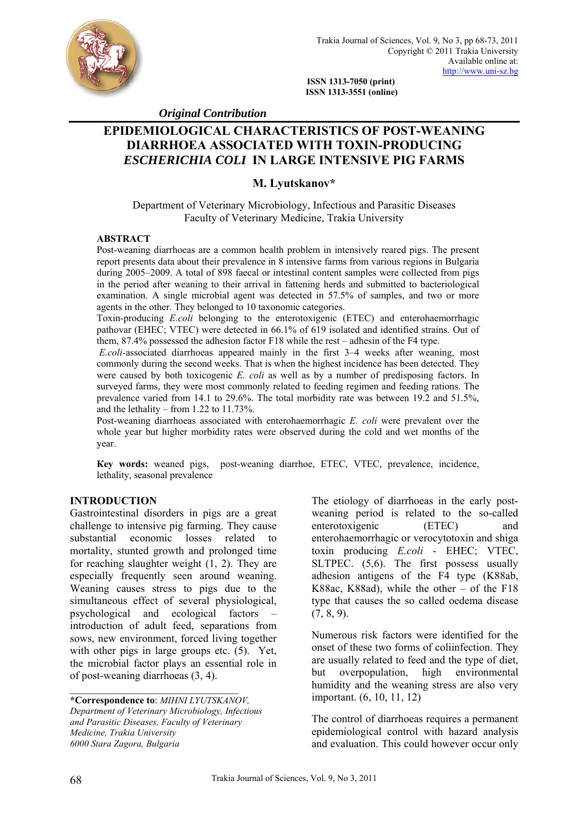

 **ISSN 1313-7050 (print) ISSN 1313-3551 (online)** 

 *Original Contribution* 

# **EPIDEMIOLOGICAL CHARACTERISTICS OF POST-WEANING DIARRHOEA ASSOCIATED WITH TOXIN-PRODUCING**  *ESCHERICHIA COLI* **IN LARGE INTENSIVE PIG FARMS**

## **M. Lyutskanov\***

Department of Veterinary Microbiology, Infectious and Parasitic Diseases Faculty of Veterinary Medicine, Trakia University

## **ABSTRACT**

Post-weaning diarrhoeas are a common health problem in intensively reared pigs. The present report presents data about their prevalence in 8 intensive farms from various regions in Bulgaria during 2005–2009. A total of 898 faecal or intestinal content samples were collected from pigs in the period after weaning to their arrival in fattening herds and submitted to bacteriological examination. A single microbial agent was detected in 57.5% of samples, and two or more agents in the other. They belonged to 10 taxonomic categories.

Toxin-producing *E.coli* belonging to the enterotoxigenic (ETEC) and enterohaemorrhagic pathovar (ЕНЕС; VTEC) were detected in 66.1% of 619 isolated and identified strains. Out of them, 87.4% possessed the adhesion factor F18 while the rest – adhesin of the F4 type.

*E.coli-*associated diarrhoeas appeared mainly in the first 3–4 weeks after weaning, most commonly during the second weeks. That is when the highest incidence has been detected. They were caused by both toxicogenic *E. coli* as well as by a number of predisposing factors. In surveyed farms, they were most commonly related to feeding regimen and feeding rations. The prevalence varied from 14.1 tо 29.6%. The total morbidity rate was between 19.2 and 51.5%, and the lethality – from 1.22 to 11.73%.

Post-weaning diarrhoeas associated with enterohaemorrhagic *E. coli* were prevalent over the whole year but higher morbidity rates were observed during the cold and wet months of the year.

**Кey words:** weaned pigs, post-weaning diarrhoe, ETEC, VTEC, prevalence, incidence, lethality, seasonal prevalence

## **INTRODUCTION**

Gastrointestinal disorders in pigs are a great challenge to intensive pig farming. They cause substantial economic losses related to mortality, stunted growth and prolonged time for reaching slaughter weight (1, 2). They are especially frequently seen around weaning. Weaning causes stress to pigs due to the simultaneous effect of several physiological, psychological and ecological factors – introduction of adult feed, separations from sows, new environment, forced living together with other pigs in large groups etc.  $(5)$ . Yet, the microbial factor plays an essential role in of post-weaning diarrhoeas (3, 4).

**\*Correspondence to**: *MIHNI LYUTSKANOV, Department of Veterinary Microbiology, Infectious and Parasitic Diseases, Faculty of Veterinary Medicine, Trakia University 6000 Stara Zagora, Bulgaria* 

 $\mathcal{L}_\text{max}$ 

The etiology of diarrhoeas in the early postweaning period is related to the so-called enterotoxigenic (ETEC) and enterohaemorrhagic or verocytotoxin and shiga toxin producing *E.coli* - EHEC; VTEC, SLTPEC.  $(5,6)$ . The first possess usually adhesion antigens of the F4 type (K88ab, K88ac, K88ad), while the other – of the F18 type that causes the so called oedema disease  $(7, 8, 9)$ .

Numerous risk factors were identified for the onset of these two forms of coliinfection. They are usually related to feed and the type of diet, but overpopulation, high environmental humidity and the weaning stress are also very important. (6, 10, 11, 12)

The control of diarrhoeas requires a permanent epidemiological control with hazard analysis and evaluation. This could however occur only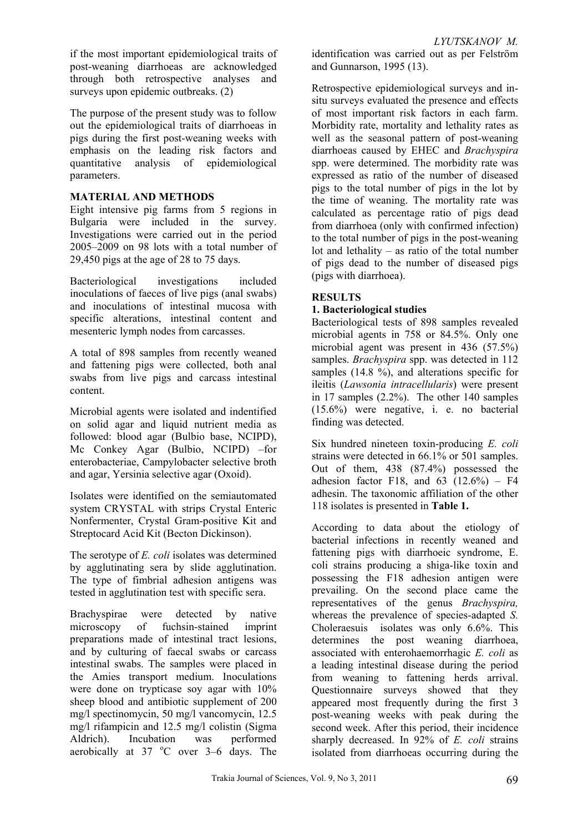if the most important epidemiological traits of post-weaning diarrhoeas are acknowledged through both retrospective analyses and surveys upon epidemic outbreaks. (2)

The purpose of the present study was to follow out the epidemiological traits of diarrhoeas in pigs during the first post-weaning weeks with emphasis on the leading risk factors and quantitative analysis of epidemiological parameters.

## **МATERIAL AND METHODS**

Eight intensive pig farms from 5 regions in Bulgaria were included in the survey. Investigations were carried out in the period 2005–2009 on 98 lots with a total number of 29,450 pigs at the age of 28 tо 75 days.

Bacteriological investigations included inoculations of faeces of live pigs (anal swabs) and inoculations of intestinal mucosa with specific alterations, intestinal content and mesenteric lymph nodes from carcasses.

A total of 898 samples from recently weaned and fattening pigs were collected, both anal swabs from live pigs and carcass intestinal content.

Microbial agents were isolated and indentified on solid agar and liquid nutrient media as followed: blood agar (Bulbio base, NCIPD), Mc Conkey Agar (Bulbio, NCIPD) –for enterobacteriae, Campylobacter selective broth and agar, Yersinia selective agar (Oxoid).

Isolates were identified on the semiautomated system CRYSTAL with strips Crystal Enteric Nonfermenter, Crystal Gram-positive Kit and Streptocard Acid Kit (Becton Dickinson).

The serotype of *E. coli* isolates was determined by agglutinating sera by slide agglutination. The type of fimbrial adhesion antigens was tested in agglutination test with specific sera.

Brachyspiraе were detected by native microscopy of fuchsin-stained imprint preparations made of intestinal tract lesions, and by culturing of faecal swabs or carcass intestinal swabs. The samples were placed in the Amies transport medium. Inoculations were done on trypticase soy agar with 10% sheep blood and antibiotic supplement of 200 mg/l spectinomycin, 50 mg/l vancomycin, 12.5 mg/l rifampicin and 12.5 mg/l colistin (Sigma Aldrich). Incubation was performed aerobically at  $37 \text{ °C}$  over  $3-6$  days. The identification was carried out as per Felström and Gunnarson, 1995 (13).

Retrospective epidemiological surveys and insitu surveys evaluated the presence and effects of most important risk factors in each farm. Morbidity rate, mortality and lethality rates as well as the seasonal pattern of post-weaning diarrhoeas caused by EHEC and *Brachyspira*  spp. were determined. The morbidity rate was expressed as ratio of the number of diseased pigs to the total number of pigs in the lot by the time of weaning. The mortality rate was calculated as percentage ratio of pigs dead from diarrhoea (only with confirmed infection) to the total number of pigs in the post-weaning lot and lethality – as ratio of the total number of pigs dead to the number of diseased pigs (pigs with diarrhoea).

## **RESULTS**

## **1. Bacteriological studies**

Bacteriological tests of 898 samples revealed microbial agents in 758 or 84.5%. Only one microbial agent was present in 436 (57.5%) samples. *Brachyspira* spp. was detected in 112 samples (14.8 %), and alterations specific for ileitis (*Lawsonia intracellularis*) were present in 17 samples (2.2%). The other 140 samples (15.6%) were negative, i. e. no bacterial finding was detected.

Six hundred nineteen toxin-producing *E. coli* strains were detected in 66.1% or 501 samples. Out of them, 438 (87.4%) possessed the adhesion factor F18, and  $63$   $(12.6\%)$  – F4 adhesin. The taxonomic affiliation of the other 118 isolates is presented in **Table 1.**

According to data about the etiology of bacterial infections in recently weaned and fattening pigs with diarrhoeic syndrome, E. coli strains producing a shiga-like toxin and possessing the F18 adhesion antigen were prevailing. On the second place came the representatives of the genus *Brachyspira,* whereas the prevalence of species-adapted *S.*  Choleraesuis isolates was only 6.6%. This determines the post weaning diarrhoea, associated with enterohaemorrhagic *Е. coli* as a leading intestinal disease during the period from weaning to fattening herds arrival. Questionnaire surveys showed that they appeared most frequently during the first 3 post-weaning weeks with peak during the second week. After this period, their incidence sharply decreased. In 92% of *E. coli* strains isolated from diarrhoeas occurring during the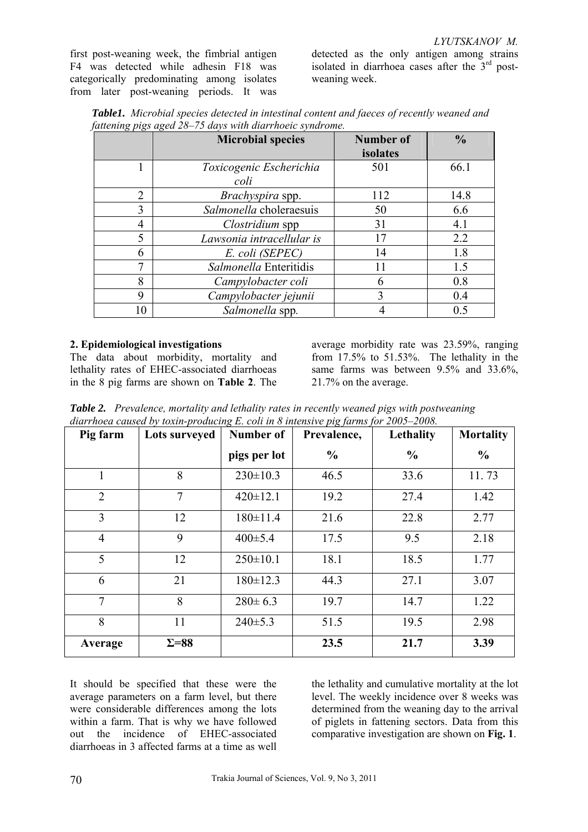first post-weaning week, the fimbrial antigen F4 was detected while adhesin F18 was categorically predominating among isolates from later post-weaning periods. It was

detected as the only antigen among strains isolated in diarrhoea cases after the  $3<sup>rd</sup>$  postweaning week.

|  | <b>Table1.</b> Microbial species detected in intestinal content and faeces of recently weaned and |  |  |
|--|---------------------------------------------------------------------------------------------------|--|--|
|  | fattening pigs aged 28–75 days with diarrhoeic syndrome.                                          |  |  |

|                | <b>Microbial species</b>  | <b>Number of</b> | $\frac{0}{0}$  |
|----------------|---------------------------|------------------|----------------|
|                |                           | isolates         |                |
|                | Toxicogenic Escherichia   | 501              | 66.1           |
|                | coli                      |                  |                |
| $\overline{2}$ | Brachyspira spp.          | 112              | 14.8           |
| 3              | Salmonella choleraesuis   | 50               | 6.6            |
| 4              | Clostridium spp           | 31               | 4.1            |
| 5              | Lawsonia intracellular is | 17               | 2.2            |
| 6              | E. coli (SEPEC)           | 14               | 1.8            |
|                | Salmonella Enteritidis    | 11               | 1.5            |
| 8              | Campylobacter coli        | 6                | 0.8            |
| 9              | Campylobacter jejunii     | 3                | 0.4            |
| 10             | Salmonella spp.           |                  | 0 <sub>5</sub> |

## **2. Epidemiological investigations**

The data about morbidity, mortality and lethality rates of EHEC-associated diarrhoeas in the 8 pig farms are shown on **Table 2**. The

average morbidity rate was 23.59%, ranging from 17.5% tо 51.53%. The lethality in the same farms was between 9.5% and 33.6%, 21.7% on the average.

*Table 2. Prevalence, mortality and lethality rates in recently weaned pigs with postweaning diarrhoea caused by toxin-producing E. coli in 8 intensive pig farms for 2005–2008.* 

| Pig farm       | Lots surveyed | <b>Number of</b> | Prevalence,   | Lethality     | <b>Mortality</b> |
|----------------|---------------|------------------|---------------|---------------|------------------|
|                |               | pigs per lot     | $\frac{0}{0}$ | $\frac{0}{0}$ | $\frac{0}{0}$    |
|                | 8             | $230 \pm 10.3$   | 46.5          | 33.6          | 11.73            |
| $\overline{2}$ | $\tau$        | $420 \pm 12.1$   | 19.2          | 27.4          | 1.42             |
| $\overline{3}$ | 12            | $180 \pm 11.4$   | 21.6          | 22.8          | 2.77             |
| $\overline{4}$ | 9             | $400 \pm 5.4$    | 17.5          | 9.5           | 2.18             |
| 5              | 12            | $250 \pm 10.1$   | 18.1          | 18.5          | 1.77             |
| 6              | 21            | $180 \pm 12.3$   | 44.3          | 27.1          | 3.07             |
| $\tau$         | 8             | $280 \pm 6.3$    | 19.7          | 14.7          | 1.22             |
| 8              | 11            | 240±5.3          | 51.5          | 19.5          | 2.98             |
| Average        | $\Sigma = 88$ |                  | 23.5          | 21.7          | 3.39             |

It should be specified that these were the average parameters on a farm level, but there were considerable differences among the lots within a farm. That is why we have followed out the incidence of EHEC-associated diarrhoeas in 3 affected farms at a time as well

the lethality and cumulative mortality at the lot level. The weekly incidence over 8 weeks was determined from the weaning day to the arrival of piglets in fattening sectors. Data from this comparative investigation are shown on **Fig. 1**.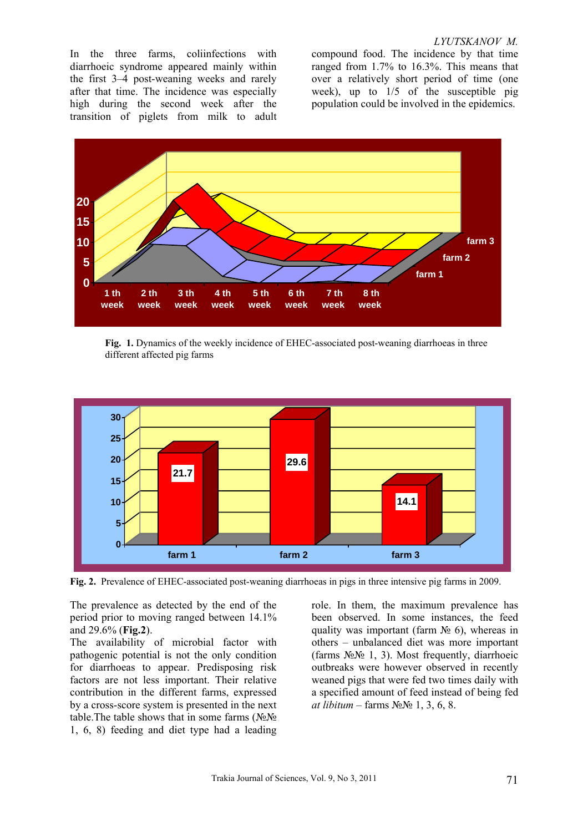#### *LYUTSKANOV M.*

In the three farms, coliinfections with diarrhoeic syndrome appeared mainly within the first 3–4 post-weaning weeks and rarely after that time. The incidence was especially high during the second week after the transition of piglets from milk to adult

compound food. The incidence by that time ranged from 1.7% tо 16.3%. This means that over a relatively short period of time (one week), up to 1/5 of the susceptible pig population could be involved in the epidemics.



**Fig. 1.** Dynamics of the weekly incidence of EHEC-associated post-weaning diarrhoeas in three different affected pig farms



**Fig. 2.** Prevalence of EHEC-associated post-weaning diarrhoeas in pigs in three intensive pig farms in 2009.

The prevalence as detected by the end of the period prior to moving ranged between 14.1% and 29.6% (**Fig.2**).

The availability of microbial factor with pathogenic potential is not the only condition for diarrhoeas to appear. Predisposing risk factors are not less important. Their relative contribution in the different farms, expressed by a cross-score system is presented in the next table. The table shows that in some farms ( $N_2N_2$ 1, 6, 8) feeding and diet type had a leading

role. In them, the maximum prevalence has been observed. In some instances, the feed quality was important (farm  $\mathcal{N}_2$  6), whereas in others – unbalanced diet was more important (farms  $N_2N_2$  1, 3). Most frequently, diarrhoeic outbreaks were however observed in recently weaned pigs that were fed two times daily with a specified amount of feed instead of being fed *at libitum* – farms №№ 1, 3, 6, 8.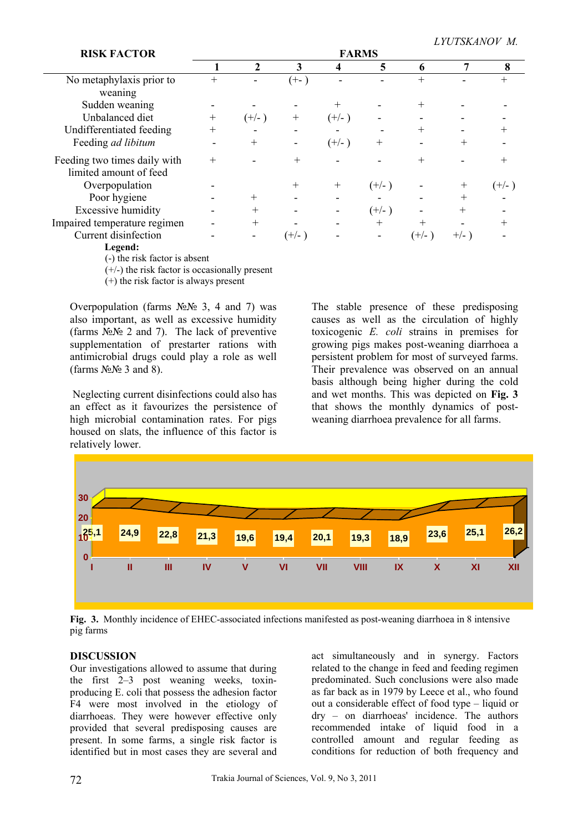*LYUTSKANOV M.* 

| <b>RISK FACTOR</b>                                     | <b>FARMS</b>       |                          |        |         |         |        |         |        |
|--------------------------------------------------------|--------------------|--------------------------|--------|---------|---------|--------|---------|--------|
|                                                        |                    | $\mathbf{2}$             | 3      | 4       | 5       | 6      |         | 8      |
| No metaphylaxis prior to<br>weaning                    |                    |                          | $(+-)$ |         |         | $^{+}$ |         |        |
| Sudden weaning                                         |                    |                          |        |         |         | $^{+}$ |         |        |
| Unbalanced diet                                        | $^{+}$             | $(+/-)$                  | $^{+}$ | $(+/-)$ |         |        |         |        |
| Undifferentiated feeding                               | $\hspace{0.1mm} +$ | $\overline{\phantom{0}}$ |        |         |         | $^+$   |         |        |
| Feeding ad libitum                                     |                    | $^{+}$                   |        | $(+/-)$ | $^+$    |        |         |        |
| Feeding two times daily with<br>limited amount of feed |                    |                          |        |         |         |        |         |        |
| Overpopulation                                         |                    |                          | $^+$   | $^{+}$  | $(+/-)$ |        | $^{+}$  | (+/- ) |
| Poor hygiene                                           |                    | $^{+}$                   |        |         |         |        | $^{+}$  |        |
| <b>Excessive humidity</b>                              |                    | $^{+}$                   |        |         | $(+/-)$ |        |         |        |
| Impaired temperature regimen                           |                    | $^{+}$                   |        |         | $^{+}$  | $^{+}$ |         |        |
| Current disinfection                                   |                    |                          | (+/- ) |         |         | (+/- ) | $+/-$ ) |        |
|                                                        |                    |                          |        |         |         |        |         |        |

 **Legend:** 

(-) the risk factor is absent

(+/-) the risk factor is occasionally present

(+) the risk factor is always present

Overpopulation (farms  $N_2N_2$  3, 4 and 7) was also important, as well as excessive humidity (farms  $\hat{N} \simeq N$  2 and 7). The lack of preventive supplementation of prestarter rations with antimicrobial drugs could play a role as well (farms  $N_2N_2$  3 and 8).

 Neglecting current disinfections could also has an effect as it favourizes the persistence of high microbial contamination rates. For pigs housed on slats, the influence of this factor is relatively lower.

The stable presence of these predisposing causes as well as the circulation of highly toxicogenic *E. coli* strains in premises for growing pigs makes post-weaning diarrhoea a persistent problem for most of surveyed farms. Their prevalence was observed on an annual basis although being higher during the cold and wet months. This was depicted on **Fig. 3** that shows the monthly dynamics of postweaning diarrhoea prevalence for all farms.



**Fig. 3.** Monthly incidence of EHEC-associated infections manifested as post-weaning diarrhoea in 8 intensive pig farms

## **DISCUSSION**

Our investigations allowed to assume that during the first 2–3 post weaning weeks, toxinproducing E. coli that possess the adhesion factor F4 were most involved in the etiology of diarrhoeas. They were however effective only provided that several predisposing causes are present. In some farms, a single risk factor is identified but in most cases they are several and act simultaneously and in synergy. Factors related to the change in feed and feeding regimen predominated. Such conclusions were also made as far back as in 1979 by Leece et al., who found out a considerable effect of food type – liquid or dry – on diarrhoeas' incidence. The authors recommended intake of liquid food in a controlled amount and regular feeding as conditions for reduction of both frequency and